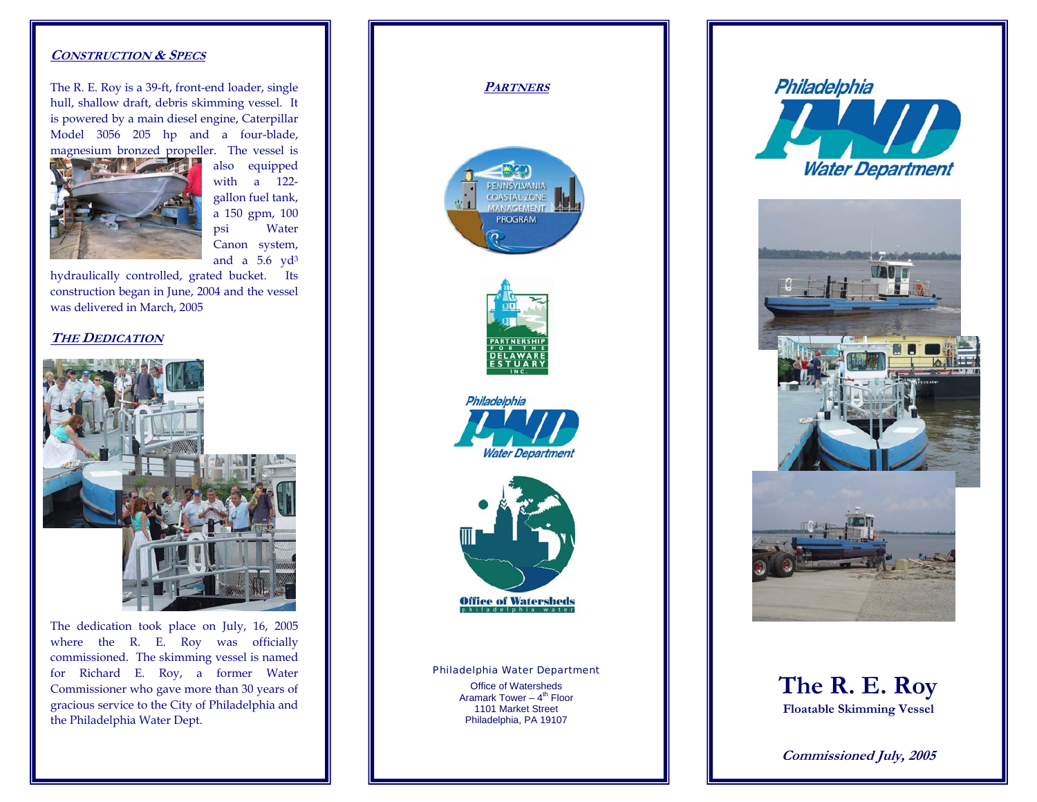### **CONSTRUCTION & SPECS**

The R. E. Roy is a 39-ft, front-end loader, single hull, shallow draft, debris skimming vessel. It is powered by a main diesel engine, Caterpillar Model 3056 205 hp and a four-blade, magnesium bronzed propeller. The vessel is



also equipped with a 122gallon fuel tank, a 150 gpm, 100 psi Water Canon system, and a  $5.6$  yd<sup>3</sup>

hydraulically controlled, grated bucket. Its construction began in June, 2004 and the vessel was delivered in March, 2005

# **THE DEDICATION**



The dedication took place on July, 16, 2005 where the R. E. Roy was officially commissioned. The skimming vessel is named for Richard E. Roy, a former Water Commissioner who gave more than 30 years of gracious service to the City of Philadelphia and the Philadelphia Water Dept.







**Commissioned July, 2005**